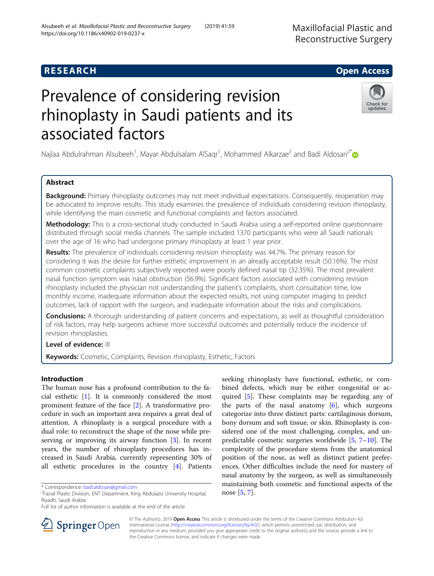# **RESEARCH CHILD CONTROL** CONTROL CONTROL CONTROL CONTROL CONTROL CONTROL CONTROL CONTROL CONTROL CONTROL CONTROL

# Prevalence of considering revision rhinoplasty in Saudi patients and its associated factors

Najlaa Abdulrahman Alsubeeh<sup>1</sup>, Mayar Abdulsalam AlSaqr<sup>1</sup>, Mohammed Alkarzae<sup>2</sup> and Badi Aldosari<sup>2[\\*](http://orcid.org/0000-0001-9865-3795)</sup>

## Abstract

**Background:** Primary rhinoplasty outcomes may not meet individual expectations. Consequently, reoperation may be advocated to improve results. This study examines the prevalence of individuals considering revision rhinoplasty, while identifying the main cosmetic and functional complaints and factors associated.

Methodology: This is a cross-sectional study conducted in Saudi Arabia using a self-reported online questionnaire distributed through social media channels. The sample included 1370 participants who were all Saudi nationals over the age of 16 who had undergone primary rhinoplasty at least 1 year prior.

Results: The prevalence of individuals considering revision rhinoplasty was 44.7%. The primary reason for considering it was the desire for further esthetic improvement in an already acceptable result (50.16%). The most common cosmetic complaints subjectively reported were poorly defined nasal tip (32.35%). The most prevalent nasal function symptom was nasal obstruction (56.9%). Significant factors associated with considering revision rhinoplasty included the physician not understanding the patient's complaints, short consultation time, low monthly income, inadequate information about the expected results, not using computer imaging to predict outcomes, lack of rapport with the surgeon, and inadequate information about the risks and complications.

**Conclusions:** A thorough understanding of patient concerns and expectations, as well as thoughtful consideration of risk factors, may help surgeons achieve more successful outcomes and potentially reduce the incidence of revision rhinoplasties.

Level of evidence: III

Keywords: Cosmetic, Complaints, Revision rhinoplasty, Esthetic, Factors

## Introduction

The human nose has a profound contribution to the facial esthetic [\[1](#page-8-0)]. It is commonly considered the most prominent feature of the face [[2\]](#page-8-0). A transformative procedure in such an important area requires a great deal of attention. A rhinoplasty is a surgical procedure with a dual role: to reconstruct the shape of the nose while preserving or improving its airway function [\[3\]](#page-8-0). In recent years, the number of rhinoplasty procedures has increased in Saudi Arabia, currently representing 30% of all esthetic procedures in the country [[4\]](#page-8-0). Patients

© The Author(s). 2019 Open Access This article is distributed under the terms of the Creative Commons Attribution 4.0 International License ([http://creativecommons.org/licenses/by/4.0/\)](http://creativecommons.org/licenses/by/4.0/), which permits unrestricted use, distribution, and reproduction in any medium, provided you give appropriate credit to the original author(s) and the source, provide a link to the Creative Commons license, and indicate if changes were made.

seeking rhinoplasty have functional, esthetic, or combined defects, which may be either congenital or acquired [[5\]](#page-8-0). These complaints may be regarding any of the parts of the nasal anatomy  $[6]$  $[6]$ , which surgeons categorize into three distinct parts: cartilaginous dorsum, bony dorsum and soft tissue, or skin. Rhinoplasty is considered one of the most challenging, complex, and unpredictable cosmetic surgeries worldwide  $[5, 7-10]$  $[5, 7-10]$  $[5, 7-10]$  $[5, 7-10]$  $[5, 7-10]$  $[5, 7-10]$ . The complexity of the procedure stems from the anatomical position of the nose, as well as distinct patient preferences. Other difficulties include the need for mastery of nasal anatomy by the surgeon, as well as simultaneously maintaining both cosmetic and functional aspects of the nose [[5](#page-8-0), [7](#page-8-0)].

Check for updates





<sup>\*</sup> Correspondence: [badi.aldosari@gmail.com](mailto:badi.aldosari@gmail.com) <sup>2</sup>

Facial Plastic Division, ENT Department, King Abdulaziz University Hospital, Riyadh, Saudi Arabia

Full list of author information is available at the end of the article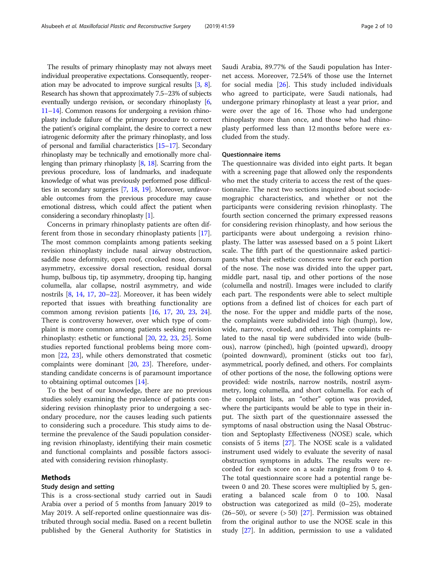The results of primary rhinoplasty may not always meet individual preoperative expectations. Consequently, reoperation may be advocated to improve surgical results [\[3,](#page-8-0) [8](#page-8-0)]. Research has shown that approximately 7.5–23% of subjects eventually undergo revision, or secondary rhinoplasty [[6](#page-8-0), [11](#page-8-0)–[14](#page-8-0)]. Common reasons for undergoing a revision rhinoplasty include failure of the primary procedure to correct the patient's original complaint, the desire to correct a new iatrogenic deformity after the primary rhinoplasty, and loss of personal and familial characteristics [\[15](#page-8-0)–[17](#page-8-0)]. Secondary rhinoplasty may be technically and emotionally more challenging than primary rhinoplasty [[8](#page-8-0), [18](#page-8-0)]. Scarring from the previous procedure, loss of landmarks, and inadequate knowledge of what was previously performed pose difficulties in secondary surgeries [\[7,](#page-8-0) [18,](#page-8-0) [19](#page-8-0)]. Moreover, unfavorable outcomes from the previous procedure may cause emotional distress, which could affect the patient when considering a secondary rhinoplasty [\[1\]](#page-8-0).

Concerns in primary rhinoplasty patients are often different from those in secondary rhinoplasty patients [\[17](#page-8-0)]. The most common complaints among patients seeking revision rhinoplasty include nasal airway obstruction, saddle nose deformity, open roof, crooked nose, dorsum asymmetry, excessive dorsal resection, residual dorsal hump, bulbous tip, tip asymmetry, drooping tip, hanging columella, alar collapse, nostril asymmetry, and wide nostrils [\[8](#page-8-0), [14,](#page-8-0) [17](#page-8-0), [20](#page-8-0)–[22\]](#page-8-0). Moreover, it has been widely reported that issues with breathing functionality are common among revision patients [[16,](#page-8-0) [17,](#page-8-0) [20](#page-8-0), [23](#page-8-0), [24](#page-8-0)]. There is controversy however, over which type of complaint is more common among patients seeking revision rhinoplasty: esthetic or functional [[20,](#page-8-0) [22](#page-8-0), [23,](#page-8-0) [25](#page-8-0)]. Some studies reported functional problems being more common [[22,](#page-8-0) [23\]](#page-8-0), while others demonstrated that cosmetic complaints were dominant [\[20](#page-8-0), [23](#page-8-0)]. Therefore, understanding candidate concerns is of paramount importance to obtaining optimal outcomes [[14\]](#page-8-0).

To the best of our knowledge, there are no previous studies solely examining the prevalence of patients considering revision rhinoplasty prior to undergoing a secondary procedure, nor the causes leading such patients to considering such a procedure. This study aims to determine the prevalence of the Saudi population considering revision rhinoplasty, identifying their main cosmetic and functional complaints and possible factors associated with considering revision rhinoplasty.

### Methods

### Study design and setting

This is a cross-sectional study carried out in Saudi Arabia over a period of 5 months from January 2019 to May 2019. A self-reported online questionnaire was distributed through social media. Based on a recent bulletin published by the General Authority for Statistics in Saudi Arabia, 89.77% of the Saudi population has Internet access. Moreover, 72.54% of those use the Internet for social media [[26\]](#page-8-0). This study included individuals who agreed to participate, were Saudi nationals, had undergone primary rhinoplasty at least a year prior, and were over the age of 16. Those who had undergone rhinoplasty more than once, and those who had rhinoplasty performed less than 12 months before were excluded from the study.

#### Questionnaire items

The questionnaire was divided into eight parts. It began with a screening page that allowed only the respondents who met the study criteria to access the rest of the questionnaire. The next two sections inquired about sociodemographic characteristics, and whether or not the participants were considering revision rhinoplasty. The fourth section concerned the primary expressed reasons for considering revision rhinoplasty, and how serious the participants were about undergoing a revision rhinoplasty. The latter was assessed based on a 5 point Likert scale. The fifth part of the questionnaire asked participants what their esthetic concerns were for each portion of the nose. The nose was divided into the upper part, middle part, nasal tip, and other portions of the nose (columella and nostril). Images were included to clarify each part. The respondents were able to select multiple options from a defined list of choices for each part of the nose. For the upper and middle parts of the nose, the complaints were subdivided into high (hump), low, wide, narrow, crooked, and others. The complaints related to the nasal tip were subdivided into wide (bulbous), narrow (pinched), high (pointed upward), droopy (pointed downward), prominent (sticks out too far), asymmetrical, poorly defined, and others. For complaints of other portions of the nose, the following options were provided: wide nostrils, narrow nostrils, nostril asymmetry, long columella, and short columella. For each of the complaint lists, an "other" option was provided, where the participants would be able to type in their input. The sixth part of the questionnaire assessed the symptoms of nasal obstruction using the Nasal Obstruction and Septoplasty Effectiveness (NOSE) scale, which consists of 5 items  $[27]$  $[27]$ . The NOSE scale is a validated instrument used widely to evaluate the severity of nasal obstruction symptoms in adults. The results were recorded for each score on a scale ranging from 0 to 4. The total questionnaire score had a potential range between 0 and 20. These scores were multiplied by 5, generating a balanced scale from 0 to 100. Nasal obstruction was categorized as mild (0–25), moderate  $(26–50)$ , or severe  $(> 50)$  [[27\]](#page-9-0). Permission was obtained from the original author to use the NOSE scale in this study [[27\]](#page-9-0). In addition, permission to use a validated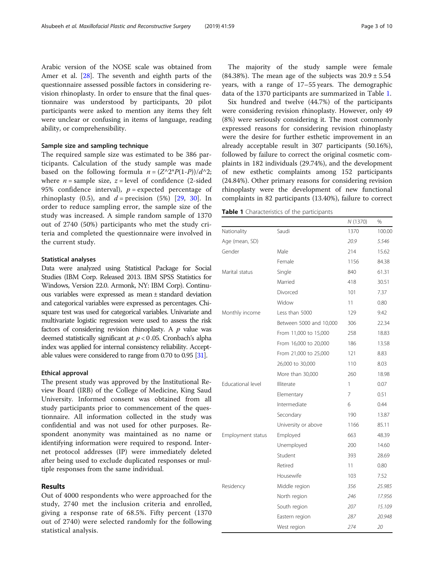Arabic version of the NOSE scale was obtained from Amer et al. [[28\]](#page-9-0). The seventh and eighth parts of the questionnaire assessed possible factors in considering revision rhinoplasty. In order to ensure that the final questionnaire was understood by participants, 20 pilot participants were asked to mention any items they felt were unclear or confusing in items of language, reading

## Sample size and sampling technique

ability, or comprehensibility.

The required sample size was estimated to be 386 participants. Calculation of the study sample was made based on the following formula  $n = (Z^2 * P(1-P))/d^2$ ; where  $n =$  sample size,  $z =$  level of confidence (2-sided 95% confidence interval),  $p =$  expected percentage of rhinoplasty (0.5), and  $d =$  precision (5%) [[29,](#page-9-0) [30\]](#page-9-0). In order to reduce sampling error, the sample size of the study was increased. A simple random sample of 1370 out of 2740 (50%) participants who met the study criteria and completed the questionnaire were involved in the current study.

## Statistical analyses

Data were analyzed using Statistical Package for Social Studies (IBM Corp. Released 2013. IBM SPSS Statistics for Windows, Version 22.0. Armonk, NY: IBM Corp). Continuous variables were expressed as mean ± standard deviation and categorical variables were expressed as percentages. Chisquare test was used for categorical variables. Univariate and multivariate logistic regression were used to assess the risk factors of considering revision rhinoplasty. A  $p$  value was deemed statistically significant at  $p < 0.05$ . Cronbach's alpha index was applied for internal consistency reliability. Acceptable values were considered to range from 0.70 to 0.95 [[31\]](#page-9-0).

## Ethical approval

The present study was approved by the Institutional Review Board (IRB) of the College of Medicine, King Saud University. Informed consent was obtained from all study participants prior to commencement of the questionnaire. All information collected in the study was confidential and was not used for other purposes. Respondent anonymity was maintained as no name or identifying information were required to respond. Internet protocol addresses (IP) were immediately deleted after being used to exclude duplicated responses or multiple responses from the same individual.

## Results

Out of 4000 respondents who were approached for the study, 2740 met the inclusion criteria and enrolled, giving a response rate of 68.5%. Fifty percent (1370 out of 2740) were selected randomly for the following statistical analysis.

The majority of the study sample were female (84.38%). The mean age of the subjects was  $20.9 \pm 5.54$ years, with a range of 17–55 years. The demographic data of the 1370 participants are summarized in Table 1.

Six hundred and twelve (44.7%) of the participants were considering revision rhinoplasty. However, only 49 (8%) were seriously considering it. The most commonly expressed reasons for considering revision rhinoplasty were the desire for further esthetic improvement in an already acceptable result in 307 participants (50.16%), followed by failure to correct the original cosmetic complaints in 182 individuals (29.74%), and the development of new esthetic complaints among 152 participants (24.84%). Other primary reasons for considering revision rhinoplasty were the development of new functional complaints in 82 participants (13.40%), failure to correct

|  | Table 1 Characteristics of the participants |  |
|--|---------------------------------------------|--|
|  |                                             |  |

|                   |                         | N (1370) | $\%$   |
|-------------------|-------------------------|----------|--------|
| Nationality       | Saudi                   | 1370     | 100.00 |
| Age (mean, SD)    |                         | 20.9     | 5.546  |
| Gender            | Male                    | 214      | 15.62  |
|                   | Female                  | 1156     | 84.38  |
| Marital status    | Single                  | 840      | 61.31  |
|                   | Married                 | 418      | 30.51  |
|                   | Divorced                | 101      | 7.37   |
|                   | Widow                   | 11       | 0.80   |
| Monthly income    | Less than 5000          | 129      | 9.42   |
|                   | Between 5000 and 10,000 | 306      | 22.34  |
|                   | From 11,000 to 15,000   | 258      | 18.83  |
|                   | From 16,000 to 20,000   | 186      | 13.58  |
|                   | From 21,000 to 25,000   | 121      | 8.83   |
|                   | 26,000 to 30,000        | 110      | 8.03   |
|                   | More than 30,000        | 260      | 18.98  |
| Educational level | Illiterate              | 1        | 0.07   |
|                   | Elementary              | 7        | 0.51   |
|                   | Intermediate            | 6        | 0.44   |
|                   | Secondary               | 190      | 13.87  |
|                   | University or above     | 1166     | 85.11  |
| Employment status | Employed                | 663      | 48.39  |
|                   | Unemployed              | 200      | 14.60  |
|                   | Student                 | 393      | 28.69  |
|                   | Retired                 | 11       | 0.80   |
|                   | Housewife               | 103      | 7.52   |
| Residency         | Middle region           | 356      | 25.985 |
|                   | North region            | 246      | 17.956 |
|                   | South region            | 207      | 15.109 |
|                   | Eastern region          | 287      | 20.948 |
|                   | West region             | 274      | 20     |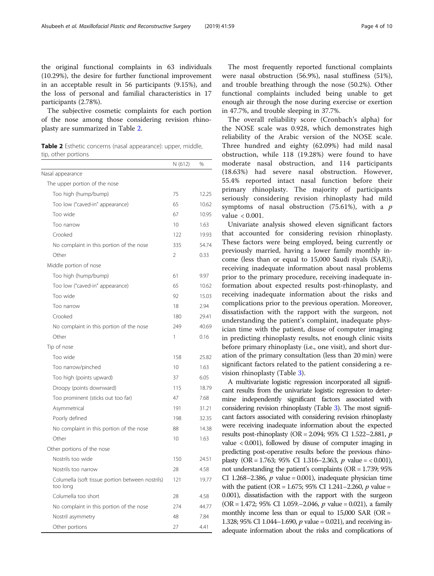the original functional complaints in 63 individuals (10.29%), the desire for further functional improvement in an acceptable result in 56 participants (9.15%), and the loss of personal and familial characteristics in 17 participants (2.78%).

The subjective cosmetic complaints for each portion of the nose among those considering revision rhinoplasty are summarized in Table 2.

Table 2 Esthetic concerns (nasal appearance): upper, middle, tip, other portions

|                                                              | N (612)        | %     |
|--------------------------------------------------------------|----------------|-------|
| Nasal appearance                                             |                |       |
| The upper portion of the nose                                |                |       |
| Too high (hump/bump)                                         | 75             | 12.25 |
| Too low ("caved-in" appearance)                              | 65             | 10.62 |
| Too wide                                                     | 67             | 10.95 |
| Too narrow                                                   | 10             | 1.63  |
| Crooked                                                      | 122            | 19.93 |
| No complaint in this portion of the nose                     | 335            | 54.74 |
| Other                                                        | $\overline{2}$ | 0.33  |
| Middle portion of nose                                       |                |       |
| Too high (hump/bump)                                         | 61             | 9.97  |
| Too low ("caved-in" appearance)                              | 65             | 10.62 |
| Too wide                                                     | 92             | 15.03 |
| Too narrow                                                   | 18             | 2.94  |
| Crooked                                                      | 180            | 29.41 |
| No complaint in this portion of the nose                     | 249            | 40.69 |
| Other                                                        | 1              | 0.16  |
| Tip of nose                                                  |                |       |
| Too wide                                                     | 158            | 25.82 |
| Too narrow/pinched                                           | 10             | 1.63  |
| Too high (points upward)                                     | 37             | 6.05  |
| Droopy (points downward)                                     | 115            | 18.79 |
| Too prominent (sticks out too far)                           | 47             | 7.68  |
| Asymmetrical                                                 | 191            | 31.21 |
| Poorly defined                                               | 198            | 32.35 |
| No complaint in this portion of the nose                     | 88             | 14.38 |
| Other                                                        | 10             | 1.63  |
| Other portions of the nose                                   |                |       |
| Nostrils too wide                                            | 150            | 24.51 |
| Nostrils too narrow                                          | 28             | 4.58  |
| Columella (soft tissue portion between nostrils)<br>too long | 121            | 19.77 |
| Columella too short                                          | 28             | 4.58  |
| No complaint in this portion of the nose                     | 274            | 44.77 |
| Nostril asymmetry                                            | 48             | 7.84  |
| Other portions                                               | 27             | 4.41  |

The most frequently reported functional complaints were nasal obstruction (56.9%), nasal stuffiness (51%), and trouble breathing through the nose (50.2%). Other functional complaints included being unable to get enough air through the nose during exercise or exertion in 47.7%, and trouble sleeping in 37.7%.

The overall reliability score (Cronbach's alpha) for the NOSE scale was 0.928, which demonstrates high reliability of the Arabic version of the NOSE scale. Three hundred and eighty (62.09%) had mild nasal obstruction, while 118 (19.28%) were found to have moderate nasal obstruction, and 114 participants (18.63%) had severe nasal obstruction. However, 55.4% reported intact nasal function before their primary rhinoplasty. The majority of participants seriously considering revision rhinoplasty had mild symptoms of nasal obstruction (75.61%), with a  $p$ value < 0.001.

Univariate analysis showed eleven significant factors that accounted for considering revision rhinoplasty. These factors were being employed, being currently or previously married, having a lower family monthly income (less than or equal to 15,000 Saudi riyals (SAR)), receiving inadequate information about nasal problems prior to the primary procedure, receiving inadequate information about expected results post-rhinoplasty, and receiving inadequate information about the risks and complications prior to the previous operation. Moreover, dissatisfaction with the rapport with the surgeon, not understanding the patient's complaint, inadequate physician time with the patient, disuse of computer imaging in predicting rhinoplasty results, not enough clinic visits before primary rhinoplasty (i.e., one visit), and short duration of the primary consultation (less than 20 min) were significant factors related to the patient considering a revision rhinoplasty (Table [3](#page-4-0)).

A multivariate logistic regression incorporated all significant results from the univariate logistic regression to determine independently significant factors associated with considering revision rhinoplasty (Table [3](#page-4-0)). The most significant factors associated with considering revision rhinoplasty were receiving inadequate information about the expected results post-rhinoplasty (OR = 2.094; 95% CI 1.522–2.881,  $p$ ) value < 0.001), followed by disuse of computer imaging in predicting post-operative results before the previous rhinoplasty (OR = 1.763; 95% CI 1.316–2.363,  $p$  value = < 0.001), not understanding the patient's complaints (OR = 1.739; 95% CI 1.268–2.386,  $p$  value = 0.001), inadequate physician time with the patient (OR = 1.675; 95% CI 1.241–2.260,  $p$  value = 0.001), dissatisfaction with the rapport with the surgeon  $(OR = 1.472; 95\% \text{ CI } 1.059, -2.046, p \text{ value } = 0.021)$ , a family monthly income less than or equal to  $15,000$  SAR (OR = 1.328; 95% CI 1.044–1.690,  $p$  value = 0.021), and receiving inadequate information about the risks and complications of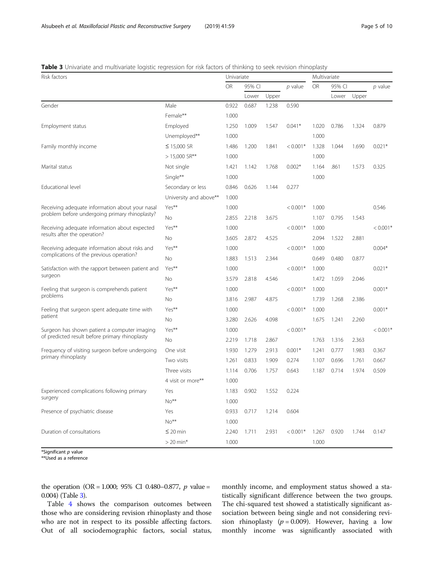### <span id="page-4-0"></span>Table 3 Univariate and multivariate logistic regression for risk factors of thinking to seek revision rhinoplasty

| Risk factors                                      |                        |           | Univariate |       |            | Multivariate |        |       |            |
|---------------------------------------------------|------------------------|-----------|------------|-------|------------|--------------|--------|-------|------------|
|                                                   |                        | <b>OR</b> | 95% CI     |       | $p$ value  | OR           | 95% CI |       | p value    |
|                                                   |                        |           | Lower      | Upper |            |              | Lower  | Upper |            |
| Gender                                            | Male                   | 0.922     | 0.687      | 1.238 | 0.590      |              |        |       |            |
|                                                   | Female**               | 1.000     |            |       |            |              |        |       |            |
| Employment status                                 | Employed               | 1.250     | 1.009      | 1.547 | $0.041*$   | 1.020        | 0.786  | 1.324 | 0.879      |
|                                                   | Unemployed**           | 1.000     |            |       |            | 1.000        |        |       |            |
| Family monthly income                             | ≤ 15,000 SR            | 1.486     | 1.200      | 1.841 | $< 0.001*$ | 1.328        | 1.044  | 1.690 | $0.021*$   |
|                                                   | $> 15,000$ SR**        | 1.000     |            |       |            | 1.000        |        |       |            |
| Marital status                                    | Not single             | 1.421     | 1.142      | 1.768 | $0.002*$   | 1.164        | .861   | 1.573 | 0.325      |
|                                                   | Single**               | 1.000     |            |       |            | 1.000        |        |       |            |
| Educational level                                 | Secondary or less      | 0.846     | 0.626      | 1.144 | 0.277      |              |        |       |            |
|                                                   | University and above** | 1.000     |            |       |            |              |        |       |            |
| Receiving adequate information about your nasal   | Yes**                  | 1.000     |            |       | $< 0.001*$ | 1.000        |        |       | 0.546      |
| problem before undergoing primary rhinoplasty?    | No                     | 2.855     | 2.218      | 3.675 |            | 1.107        | 0.795  | 1.543 |            |
| Receiving adequate information about expected     | Yes**                  | 1.000     |            |       | $< 0.001*$ | 1.000        |        |       | $< 0.001*$ |
| results after the operation?                      | No                     | 3.605     | 2.872      | 4.525 |            | 2.094        | 1.522  | 2.881 |            |
| Receiving adequate information about risks and    | Yes**                  | 1.000     |            |       | $< 0.001*$ | 1.000        |        |       | $0.004*$   |
| complications of the previous operation?          | No                     | 1.883     | 1.513      | 2.344 |            | 0.649        | 0.480  | 0.877 |            |
| Satisfaction with the rapport between patient and | Yes**                  | 1.000     |            |       | $< 0.001*$ | 1.000        |        |       | $0.021*$   |
| surgeon                                           | No                     | 3.579     | 2.818      | 4.546 |            | 1.472        | 1.059  | 2.046 |            |
| Feeling that surgeon is comprehends patient       | Yes**                  | 1.000     |            |       | $< 0.001*$ | 1.000        |        |       | $0.001*$   |
| problems                                          | No                     | 3.816     | 2.987      | 4.875 |            | 1.739        | 1.268  | 2.386 |            |
| Feeling that surgeon spent adequate time with     | Yes**                  | 1.000     |            |       | $< 0.001*$ | 1.000        |        |       | $0.001*$   |
| patient                                           | No                     | 3.280     | 2.626      | 4.098 |            | 1.675        | 1.241  | 2.260 |            |
| Surgeon has shown patient a computer imaging      | Yes**                  | 1.000     |            |       | $< 0.001*$ |              |        |       | $< 0.001*$ |
| of predicted result before primary rhinoplasty    | <b>No</b>              | 2.219     | 1.718      | 2.867 |            | 1.763        | 1.316  | 2.363 |            |
| Frequency of visiting surgeon before undergoing   | One visit              | 1.930     | 1.279      | 2.913 | $0.001*$   | 1.241        | 0.777  | 1.983 | 0.367      |
| primary rhinoplasty                               | Two visits             | 1.261     | 0.833      | 1.909 | 0.274      | 1.107        | 0.696  | 1.761 | 0.667      |
|                                                   | Three visits           | 1.114     | 0.706      | 1.757 | 0.643      | 1.187        | 0.714  | 1.974 | 0.509      |
|                                                   | 4 visit or more**      | 1.000     |            |       |            |              |        |       |            |
| Experienced complications following primary       | Yes                    | 1.183     | 0.902      | 1.552 | 0.224      |              |        |       |            |
| surgery                                           | $No***$                | 1.000     |            |       |            |              |        |       |            |
| Presence of psychiatric disease                   | Yes                    | 0.933     | 0.717      | 1.214 | 0.604      |              |        |       |            |
|                                                   | $No**$                 | 1.000     |            |       |            |              |        |       |            |
| Duration of consultations                         | $\leq$ 20 min          | 2.240     | 1.711      | 2.931 | $< 0.001*$ | 1.267        | 0.920  | 1.744 | 0.147      |
|                                                   | $>$ 20 min*            | 1.000     |            |       |            | 1.000        |        |       |            |

\*Significant  $p$  value

\*\*Used as a reference

the operation (OR = 1.000; 95% CI 0.480–0.877,  $p$  value = 0.004) (Table 3).

Table [4](#page-5-0) shows the comparison outcomes between those who are considering revision rhinoplasty and those who are not in respect to its possible affecting factors. Out of all sociodemographic factors, social status, monthly income, and employment status showed a statistically significant difference between the two groups. The chi-squared test showed a statistically significant association between being single and not considering revision rhinoplasty ( $p = 0.009$ ). However, having a low monthly income was significantly associated with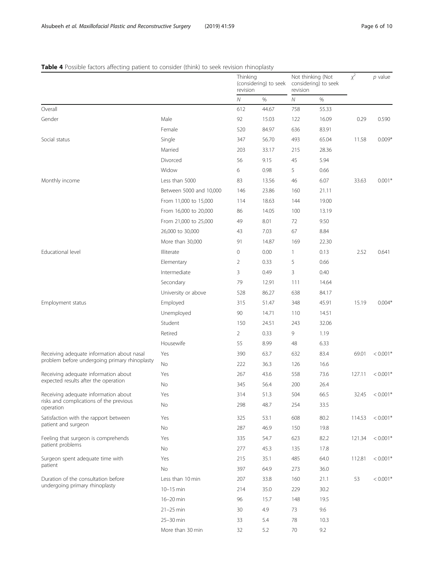## <span id="page-5-0"></span>Table 4 Possible factors affecting patient to consider (think) to seek revision rhinoplasty

|                                                      |                         | Thinking<br>(considering) to seek<br>revision |       | Not thinking (Not<br>considering) to seek<br>revision |       | $x^2$  | $p$ value  |
|------------------------------------------------------|-------------------------|-----------------------------------------------|-------|-------------------------------------------------------|-------|--------|------------|
|                                                      |                         | Ν                                             | %     | ${\cal N}$                                            | $\%$  |        |            |
| Overall                                              |                         | 612                                           | 44.67 | 758                                                   | 55.33 |        |            |
| Gender                                               | Male                    | 92                                            | 15.03 | 122                                                   | 16.09 | 0.29   | 0.590      |
|                                                      | Female                  | 520                                           | 84.97 | 636                                                   | 83.91 |        |            |
| Social status                                        | Single                  | 347                                           | 56.70 | 493                                                   | 65.04 | 11.58  | $0.009*$   |
|                                                      | Married                 | 203                                           | 33.17 | 215                                                   | 28.36 |        |            |
|                                                      | Divorced                | 56                                            | 9.15  | 45                                                    | 5.94  |        |            |
|                                                      | Widow                   | 6                                             | 0.98  | 5                                                     | 0.66  |        |            |
| Monthly income                                       | Less than 5000          | 83                                            | 13.56 | 46                                                    | 6.07  | 33.63  | $0.001*$   |
|                                                      | Between 5000 and 10,000 | 146                                           | 23.86 | 160                                                   | 21.11 |        |            |
|                                                      | From 11,000 to 15,000   | 114                                           | 18.63 | 144                                                   | 19.00 |        |            |
|                                                      | From 16,000 to 20,000   | 86                                            | 14.05 | 100                                                   | 13.19 |        |            |
|                                                      | From 21,000 to 25,000   | 49                                            | 8.01  | 72                                                    | 9.50  |        |            |
|                                                      | 26,000 to 30,000        | 43                                            | 7.03  | 67                                                    | 8.84  |        |            |
|                                                      | More than 30,000        | 91                                            | 14.87 | 169                                                   | 22.30 |        |            |
| Educational level                                    | Illiterate              | 0                                             | 0.00  | 1                                                     | 0.13  | 2.52   | 0.641      |
|                                                      | Elementary              | $\overline{2}$                                | 0.33  | 5                                                     | 0.66  |        |            |
|                                                      | Intermediate            | 3                                             | 0.49  | 3                                                     | 0.40  |        |            |
|                                                      | Secondary               | 79                                            | 12.91 | 111                                                   | 14.64 |        |            |
|                                                      | University or above     | 528                                           | 86.27 | 638                                                   | 84.17 |        |            |
| Employment status                                    | Employed                | 315                                           | 51.47 | 348                                                   | 45.91 | 15.19  | $0.004*$   |
|                                                      | Unemployed              | 90                                            | 14.71 | 110                                                   | 14.51 |        |            |
|                                                      | Student                 | 150                                           | 24.51 | 243                                                   | 32.06 |        |            |
|                                                      | Retired                 | $\overline{2}$                                | 0.33  | 9                                                     | 1.19  |        |            |
|                                                      | Housewife               | 55                                            | 8.99  | 48                                                    | 6.33  |        |            |
| Receiving adequate information about nasal           | Yes                     | 390                                           | 63.7  | 632                                                   | 83.4  | 69.01  | $< 0.001*$ |
| problem before undergoing primary rhinoplasty        | No                      | 222                                           | 36.3  | 126                                                   | 16.6  |        |            |
| Receiving adequate information about                 | Yes                     | 267                                           | 43.6  | 558                                                   | 73.6  | 127.11 | $< 0.001*$ |
| expected results after the operation                 | No                      | 345                                           | 56.4  | 200                                                   | 26.4  |        |            |
| Receiving adequate information about                 | Yes                     | 314                                           | 51.3  | 504                                                   | 66.5  | 32.45  | $< 0.001*$ |
| risks and complications of the previous<br>operation | No                      | 298                                           | 48.7  | 254                                                   | 33.5  |        |            |
| Satisfaction with the rapport between                | Yes                     | 325                                           | 53.1  | 608                                                   | 80.2  | 114.53 | $< 0.001*$ |
| patient and surgeon                                  | No                      | 287                                           | 46.9  | 150                                                   | 19.8  |        |            |
| Feeling that surgeon is comprehends                  | Yes                     | 335                                           | 54.7  | 623                                                   | 82.2  | 121.34 | $< 0.001*$ |
| patient problems                                     | No                      | 277                                           | 45.3  | 135                                                   | 17.8  |        |            |
| Surgeon spent adequate time with                     | Yes                     | 215                                           | 35.1  | 485                                                   | 64.0  | 112.81 | $< 0.001*$ |
| patient                                              | No                      | 397                                           | 64.9  | 273                                                   | 36.0  |        |            |
| Duration of the consultation before                  | Less than 10 min        | 207                                           | 33.8  | 160                                                   | 21.1  | 53     | $< 0.001*$ |
| undergoing primary rhinoplasty                       | $10-15$ min             | 214                                           | 35.0  | 229                                                   | 30.2  |        |            |
|                                                      | $16-20$ min             | 96                                            | 15.7  | 148                                                   | 19.5  |        |            |
|                                                      | $21-25$ min             | 30                                            | 4.9   | 73                                                    | 9.6   |        |            |
|                                                      | 25-30 min               | 33                                            | 5.4   | 78                                                    | 10.3  |        |            |
|                                                      | More than 30 min        | 32                                            | 5.2   | 70                                                    | 9.2   |        |            |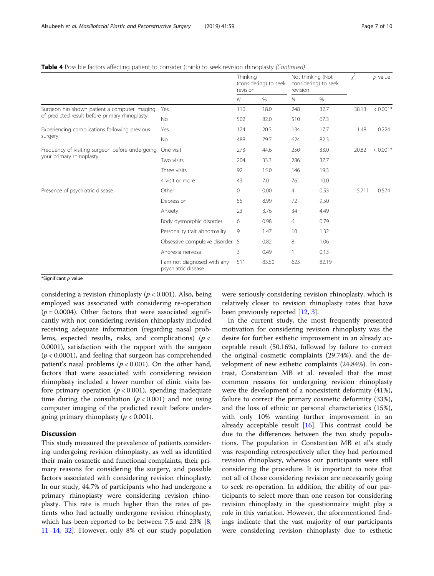#### **Table 4** Possible factors affecting patient to consider (think) to seek revision rhinoplasty (Continued)

|                                                 |                                                  | Thinking<br>(considering) to seek<br>revision |       | Not thinking (Not<br>considering) to seek<br>revision |       | $x^2$ | $p$ value  |
|-------------------------------------------------|--------------------------------------------------|-----------------------------------------------|-------|-------------------------------------------------------|-------|-------|------------|
|                                                 |                                                  | N                                             | $\%$  | $\mathcal N$                                          | %     |       |            |
| Surgeon has shown patient a computer imaging    | Yes                                              | 110                                           | 18.0  | 248                                                   | 32.7  | 38.13 | $< 0.001*$ |
| of predicted result before primary rhinoplasty  | No                                               | 502                                           | 82.0  | 510                                                   | 67.3  |       |            |
| Experiencing complications following previous   | Yes                                              | 124                                           | 20.3  | 134                                                   | 17.7  | 1.48  | 0.224      |
| surgery                                         | No                                               | 488                                           | 79.7  | 624                                                   | 82.3  |       |            |
| Frequency of visiting surgeon before undergoing | One visit                                        | 273                                           | 44.6  | 250                                                   | 33.0  | 20.82 | $< 0.001*$ |
| your primary rhinoplasty                        | Two visits                                       | 204                                           | 33.3  | 286                                                   | 37.7  |       |            |
|                                                 | Three visits                                     | 92                                            | 15.0  | 146                                                   | 19.3  |       |            |
|                                                 | 4 visit or more                                  | 43                                            | 7.0   | 76                                                    | 10.0  |       |            |
| Presence of psychiatric disease                 | Other                                            | 0                                             | 0.00  | 4                                                     | 0.53  | 5.711 | 0.574      |
|                                                 | Depression                                       | 55                                            | 8.99  | 72                                                    | 9.50  |       |            |
|                                                 | Anxiety                                          | 23                                            | 3.76  | 34                                                    | 4.49  |       |            |
|                                                 | Body dysmorphic disorder                         | 6                                             | 0.98  | 6                                                     | 0.79  |       |            |
|                                                 | Personality trait abnormality                    | 9                                             | 1.47  | 10                                                    | 1.32  |       |            |
|                                                 | Obsessive compulsive disorder 5                  |                                               | 0.82  | 8                                                     | 1.06  |       |            |
|                                                 | Anorexia nervosa                                 | 3                                             | 0.49  |                                                       | 0.13  |       |            |
|                                                 | am not diagnosed with any<br>psychiatric disease | 511                                           | 83.50 | 623                                                   | 82.19 |       |            |

\*Significant  $p$  value

considering a revision rhinoplasty ( $p < 0.001$ ). Also, being employed was associated with considering re-operation  $(p = 0.0004)$ . Other factors that were associated significantly with not considering revision rhinoplasty included receiving adequate information (regarding nasal problems, expected results, risks, and complications) ( $p <$ 0.0001), satisfaction with the rapport with the surgeon  $(p < 0.0001)$ , and feeling that surgeon has comprehended patient's nasal problems ( $p < 0.001$ ). On the other hand, factors that were associated with considering revision rhinoplasty included a lower number of clinic visits before primary operation ( $p < 0.001$ ), spending inadequate time during the consultation  $(p < 0.001)$  and not using computer imaging of the predicted result before undergoing primary rhinoplasty ( $p < 0.001$ ).

## **Discussion**

This study measured the prevalence of patients considering undergoing revision rhinoplasty, as well as identified their main cosmetic and functional complaints, their primary reasons for considering the surgery, and possible factors associated with considering revision rhinoplasty. In our study, 44.7% of participants who had undergone a primary rhinoplasty were considering revision rhinoplasty. This rate is much higher than the rates of patients who had actually undergone revision rhinoplasty, which has been reported to be between 7.5 and 23% [\[8](#page-8-0), [11](#page-8-0)–[14](#page-8-0), [32\]](#page-9-0). However, only 8% of our study population were seriously considering revision rhinoplasty, which is relatively closer to revision rhinoplasty rates that have been previously reported [\[12](#page-8-0), [3](#page-8-0)].

In the current study, the most frequently presented motivation for considering revision rhinoplasty was the desire for further esthetic improvement in an already acceptable result (50.16%), followed by failure to correct the original cosmetic complaints (29.74%), and the development of new esthetic complaints (24.84%). In contrast, Constantian MB et al. revealed that the most common reasons for undergoing revision rhinoplasty were the development of a nonexistent deformity (41%), failure to correct the primary cosmetic deformity (33%), and the loss of ethnic or personal characteristics (15%), with only 10% wanting further improvement in an already acceptable result  $[16]$  $[16]$ . This contrast could be due to the differences between the two study populations. The population in Constantian MB et al's study was responding retrospectively after they had performed revision rhinoplasty, whereas our participants were still considering the procedure. It is important to note that not all of those considering revision are necessarily going to seek re-operation. In addition, the ability of our participants to select more than one reason for considering revision rhinoplasty in the questionnaire might play a role in this variation. However, the aforementioned findings indicate that the vast majority of our participants were considering revision rhinoplasty due to esthetic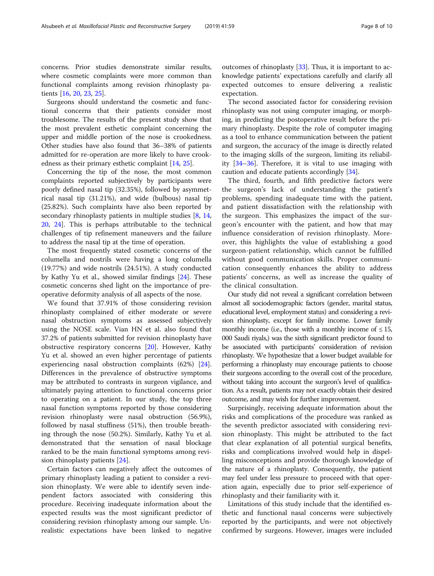concerns. Prior studies demonstrate similar results, where cosmetic complaints were more common than functional complaints among revision rhinoplasty patients [\[16](#page-8-0), [20](#page-8-0), [23,](#page-8-0) [25\]](#page-8-0).

Surgeons should understand the cosmetic and functional concerns that their patients consider most troublesome. The results of the present study show that the most prevalent esthetic complaint concerning the upper and middle portion of the nose is crookedness. Other studies have also found that 36–38% of patients admitted for re-operation are more likely to have crookedness as their primary esthetic complaint [\[14,](#page-8-0) [25\]](#page-8-0).

Concerning the tip of the nose, the most common complaints reported subjectively by participants were poorly defined nasal tip (32.35%), followed by asymmetrical nasal tip (31.21%), and wide (bulbous) nasal tip (25.82%). Such complaints have also been reported by secondary rhinoplasty patients in multiple studies [\[8](#page-8-0), [14](#page-8-0), [20,](#page-8-0) [24](#page-8-0)]. This is perhaps attributable to the technical challenges of tip refinement maneuvers and the failure to address the nasal tip at the time of operation.

The most frequently stated cosmetic concerns of the columella and nostrils were having a long columella (19.77%) and wide nostrils (24.51%). A study conducted by Kathy Yu et al., showed similar findings [[24\]](#page-8-0). These cosmetic concerns shed light on the importance of preoperative deformity analysis of all aspects of the nose.

We found that 37.91% of those considering revision rhinoplasty complained of either moderate or severe nasal obstruction symptoms as assessed subjectively using the NOSE scale. Vian HN et al. also found that 37.2% of patients submitted for revision rhinoplasty have obstructive respiratory concerns [\[20\]](#page-8-0). However, Kathy Yu et al. showed an even higher percentage of patients experiencing nasal obstruction complaints (62%) [\[24](#page-8-0)]. Differences in the prevalence of obstructive symptoms may be attributed to contrasts in surgeon vigilance, and ultimately paying attention to functional concerns prior to operating on a patient. In our study, the top three nasal function symptoms reported by those considering revision rhinoplasty were nasal obstruction (56.9%), followed by nasal stuffiness (51%), then trouble breathing through the nose (50.2%). Similarly, Kathy Yu et al. demonstrated that the sensation of nasal blockage ranked to be the main functional symptoms among revision rhinoplasty patients [\[24](#page-8-0)].

Certain factors can negatively affect the outcomes of primary rhinoplasty leading a patient to consider a revision rhinoplasty. We were able to identify seven independent factors associated with considering this procedure. Receiving inadequate information about the expected results was the most significant predictor of considering revision rhinoplasty among our sample. Unrealistic expectations have been linked to negative

outcomes of rhinoplasty [[33](#page-9-0)]. Thus, it is important to acknowledge patients' expectations carefully and clarify all expected outcomes to ensure delivering a realistic expectation.

The second associated factor for considering revision rhinoplasty was not using computer imaging, or morphing, in predicting the postoperative result before the primary rhinoplasty. Despite the role of computer imaging as a tool to enhance communication between the patient and surgeon, the accuracy of the image is directly related to the imaging skills of the surgeon, limiting its reliability [\[34](#page-9-0)–[36\]](#page-9-0). Therefore, it is vital to use imaging with caution and educate patients accordingly [\[34](#page-9-0)].

The third, fourth, and fifth predictive factors were the surgeon's lack of understanding the patient's problems, spending inadequate time with the patient, and patient dissatisfaction with the relationship with the surgeon. This emphasizes the impact of the surgeon's encounter with the patient, and how that may influence consideration of revision rhinoplasty. Moreover, this highlights the value of establishing a good surgeon-patient relationship, which cannot be fulfilled without good communication skills. Proper communication consequently enhances the ability to address patients' concerns, as well as increase the quality of the clinical consultation.

Our study did not reveal a significant correlation between almost all sociodemographic factors (gender, marital status, educational level, employment status) and considering a revision rhinoplasty, except for family income. Lower family monthly income (i.e., those with a monthly income of  $\leq 15$ , 000 Saudi riyals,) was the sixth significant predictor found to be associated with participants' consideration of revision rhinoplasty. We hypothesize that a lower budget available for performing a rhinoplasty may encourage patients to choose their surgeons according to the overall cost of the procedure, without taking into account the surgeon's level of qualification. As a result, patients may not exactly obtain their desired outcome, and may wish for further improvement.

Surprisingly, receiving adequate information about the risks and complications of the procedure was ranked as the seventh predictor associated with considering revision rhinoplasty. This might be attributed to the fact that clear explanation of all potential surgical benefits, risks and complications involved would help in dispelling misconceptions and provide thorough knowledge of the nature of a rhinoplasty. Consequently, the patient may feel under less pressure to proceed with that operation again, especially due to prior self-experience of rhinoplasty and their familiarity with it.

Limitations of this study include that the identified esthetic and functional nasal concerns were subjectively reported by the participants, and were not objectively confirmed by surgeons. However, images were included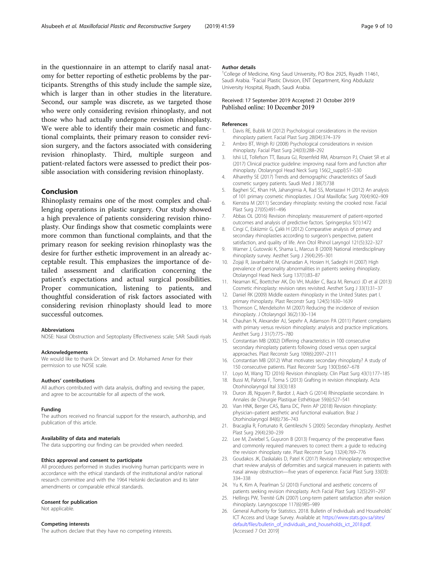<span id="page-8-0"></span>in the questionnaire in an attempt to clarify nasal anatomy for better reporting of esthetic problems by the participants. Strengths of this study include the sample size, which is larger than in other studies in the literature. Second, our sample was discrete, as we targeted those who were only considering revision rhinoplasty, and not those who had actually undergone revision rhinoplasty. We were able to identify their main cosmetic and functional complaints, their primary reason to consider revision surgery, and the factors associated with considering revision rhinoplasty. Third, multiple surgeon and patient-related factors were assessed to predict their possible association with considering revision rhinoplasty.

## Conclusion

Rhinoplasty remains one of the most complex and challenging operations in plastic surgery. Our study showed a high prevalence of patients considering revision rhinoplasty. Our findings show that cosmetic complaints were more common than functional complaints, and that the primary reason for seeking revision rhinoplasty was the desire for further esthetic improvement in an already acceptable result. This emphasizes the importance of detailed assessment and clarification concerning the patient's expectations and actual surgical possibilities. Proper communication, listening to patients, and thoughtful consideration of risk factors associated with considering revision rhinoplasty should lead to more successful outcomes.

#### Abbreviations

NOSE: Nasal Obstruction and Septoplasty Effectiveness scale; SAR: Saudi riyals

#### Acknowledgements

We would like to thank Dr. Stewart and Dr. Mohamed Amer for their permission to use NOSE scale.

#### Authors' contributions

All authors contributed with data analysis, drafting and revising the paper, and agree to be accountable for all aspects of the work.

#### Funding

The authors received no financial support for the research, authorship, and publication of this article.

#### Availability of data and materials

The data supporting our finding can be provided when needed.

#### Ethics approval and consent to participate

All procedures performed in studies involving human participants were in accordance with the ethical standards of the institutional and/or national research committee and with the 1964 Helsinki declaration and its later amendments or comparable ethical standards.

#### Consent for publication

Not applicable.

#### Competing interests

The authors declare that they have no competing interests.

#### Author details

<sup>1</sup>College of Medicine, King Saud University, PO Box 2925, Riyadh 11461, Saudi Arabia. <sup>2</sup> Facial Plastic Division, ENT Department, King Abdulaziz University Hospital, Riyadh, Saudi Arabia.

#### Received: 17 September 2019 Accepted: 21 October 2019 Published online: 10 December 2019

#### References

- 1. Davis RE, Bublik M (2012) Psychological considerations in the revision rhinoplasty patient. Facial Plast Surg 28(04):374–379
- 2. Ambro BT, Wrigh RJ (2008) Psychological considerations in revision rhinoplasty. Facial Plast Surg 24(03):288–292
- 3. Ishii LE, Tollefson TT, Basura GJ, Rosenfeld RM, Abramson PJ, Chaiet SR et al (2017) Clinical practice guideline: improving nasal form and function after rhinoplasty. Otolaryngol Head Neck Surg 156(2\_suppl):S1–S30
- 4. Alharethy SE (2017) Trends and demographic characteristics of Saudi cosmetic surgery patients. Saudi Med J 38(7):738
- 5. Bagheri SC, Khan HA, Jahangirnia A, Rad SS, Mortazavi H (2012) An analysis of 101 primary cosmetic rhinoplasties. J Oral Maxillofac Surg 70(4):902–909
- 6. Kienstra M (2011) Secondary rhinoplasty: revising the crooked nose. Facial Plast Surg 27(05):491–496
- 7. Abbas OL (2016) Revision rhinoplasty: measurement of patient-reported outcomes and analysis of predictive factors. Springerplus 5(1):1472
- 8. Cingi C, Eskiizmir G, Çaklı H (2012) Comparative analysis of primary and secondary rhinoplasties according to surgeon's perspective, patient satisfaction, and quality of life. Ann Otol Rhinol Laryngol 121(5):322–327
- 9. Warner J, Gutowski K, Shama L, Marcus B (2009) National interdisciplinary rhinoplasty survey. Aesthet Surg J 29(4):295–301
- 10. Zojaji R, Javanbakht M, Ghanadan A, Hosien H, Sadeghi H (2007) High prevalence of personality abnormalities in patients seeking rhinoplasty. Otolaryngol Head Neck Surg 137(1):83–87
- 11. Neaman KC, Boettcher AK, Do VH, Mulder C, Baca M, Renucci JD et al (2013) Cosmetic rhinoplasty: revision rates revisited. Aesthet Surg J 33(1):31–37
- 12. Daniel RK (2009) Middle eastern rhinoplasty in the United States: part I. primary rhinoplasty. Plast Reconstr Surg 124(5):1630–1639
- 13. Thomson C, Mendelsohn M (2007) Reducing the incidence of revision rhinoplasty. J Otolaryngol 36(2):130–134
- 14. Chauhan N, Alexander AJ, Sepehr A, Adamson PA (2011) Patient complaints with primary versus revision rhinoplasty: analysis and practice implications. Aesthet Surg J 31(7):775–780
- 15. Constantian MB (2002) Differing characteristics in 100 consecutive secondary rhinoplasty patients following closed versus open surgical approaches. Plast Reconstr Surg 109(6):2097–2111
- 16. Constantian MB (2012) What motivates secondary rhinoplasty? A study of 150 consecutive patients. Plast Reconstr Surg 130(3):667–678
- 17. Loyo M, Wang TD (2016) Revision rhinoplasty. Clin Plast Surg 43(1):177–185
- 18. Bussi M, Palonta F, Toma S (2013) Grafting in revision rhinoplasty. Acta Otorhinolaryngol Ital 33(3):183
- 19. Duron JB, Nguyen P, Bardot J, Aiach G (2014) Rhinoplastie secondaire. In Annales de Chirurgie Plastique Esthétique 59(6):527–541
- 20. Vian HNK, Berger CAS, Barra DC, Perin AP (2018) Revision rhinoplasty: physician–patient aesthetic and functional evaluation. Braz J Otorhinolaryngol 84(6):736–743
- 21. Bracaglia R, Fortunato R, Gentileschi S (2005) Secondary rhinoplasty. Aesthet Plast Surg 29(4):230–239
- 22. Lee M, Zwiebel S, Guyuron B (2013) Frequency of the preoperative flaws and commonly required maneuvers to correct them: a guide to reducing the revision rhinoplasty rate. Plast Reconstr Surg 132(4):769–776
- 23. Goudakos JK, Daskalakis D, Patel K (2017) Revision rhinoplasty: retrospective chart review analysis of deformities and surgical maneuvers in patients with nasal airway obstruction—five years of experience. Facial Plast Surg 33(03): 334–338
- 24. Yu K, Kim A, Pearlman SJ (2010) Functional and aesthetic concerns of patients seeking revision rhinoplasty. Arch Facial Plast Surg 12(5):291–297
- 25. Hellings PW, Trenité GJN (2007) Long-term patient satisfaction after revision rhinoplasty. Laryngoscope 117(6):985–989
- 26. General Authority for Statistics. 2018. Bulletin of Individuals and Households' ICT Access and Usage Survey. Available at: [https://www.stats.gov.sa/sites/](https://www.stats.gov.sa/sites/default/files/bulletin_of_individuals_and_households_ict_2018.pdf) [default/files/bulletin\\_of\\_individuals\\_and\\_households\\_ict\\_2018.pdf](https://www.stats.gov.sa/sites/default/files/bulletin_of_individuals_and_households_ict_2018.pdf). [Accessed 7 Oct 2019]